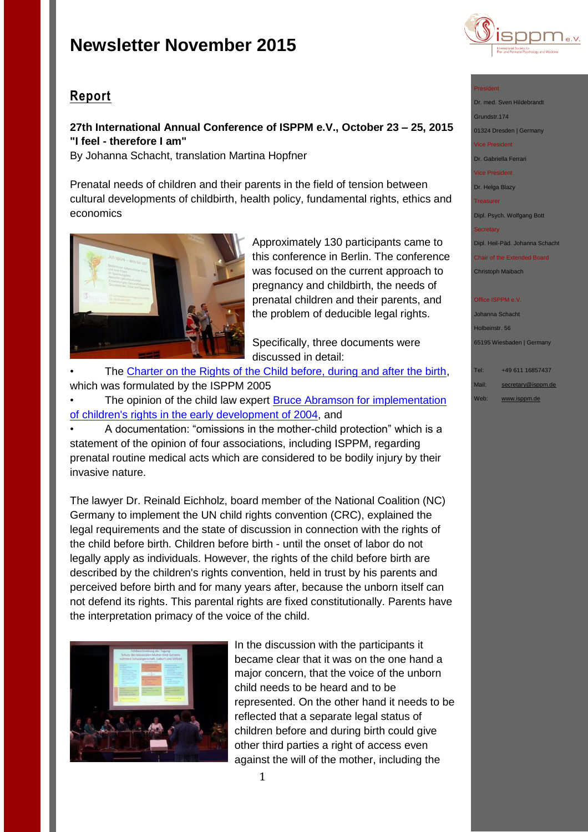

# **27th International Annual Conference of ISPPM e.V., October 23 – 25, 2015 "I feel - therefore I am"**

By Johanna Schacht, translation Martina Hopfner

Prenatal needs of children and their parents in the field of tension between cultural developments of childbirth, health policy, fundamental rights, ethics and economics



Approximately 130 participants came to this conference in Berlin. The conference was focused on the current approach to pregnancy and childbirth, the needs of prenatal children and their parents, and the problem of deducible legal rights.

Specifically, three documents were discussed in detail:

The Charter on [the Rights of the Child before, during and after the birth,](http://www.isppm.de/en/wp-content/uploads/2014/10/Charta_e.pdf) which was formulated by the ISPPM 2005

The opinion of the child law expert Bruce Abramson for implementation [of children's rights in the early development of 2004,](http://www.isppm.de/en/wp-content/uploads/2015/03/Bruce-Abramson-CRC-rights-of-babies-and-young-children-2004.pdf) and

• A documentation: "omissions in the mother-child protection" which is a statement of the opinion of four associations, including ISPPM, regarding prenatal routine medical acts which are considered to be bodily injury by their invasive nature.

The lawyer Dr. Reinald Eichholz, board member of the National Coalition (NC) Germany to implement the UN child rights convention (CRC), explained the legal requirements and the state of discussion in connection with the rights of the child before birth. Children before birth - until the onset of labor do not legally apply as individuals. However, the rights of the child before birth are described by the children's rights convention, held in trust by his parents and perceived before birth and for many years after, because the unborn itself can not defend its rights. This parental rights are fixed constitutionally. Parents have the interpretation primacy of the voice of the child.



In the discussion with the participants it became clear that it was on the one hand a major concern, that the voice of the unborn child needs to be heard and to be represented. On the other hand it needs to be reflected that a separate legal status of children before and during birth could give other third parties a right of access even against the will of the mother, including the



President

Dr. med. Sven Hildebrandt Grundstr.174 01324 Dresden | Germany Vice President Dr. Gabriella Ferrari

Vice President

Dr. Helga Blazy

Treasurer

Dipl. Psych. Wolfgang Bott

**Secretary** 

Dipl. Heil-Päd. Johanna Schacht

Chair of the Extended Board Christoph Maibach

### **Office ISPPM e.V**

Johanna Schacht Holbeinstr. 56 65195 Wiesbaden | Germany

Tel: +49 611 16857437

Mail: [secretary@isppm.de](mailto:secretary@isppm.de)

Web: [www.isppm.de](http://www.isppm.de/)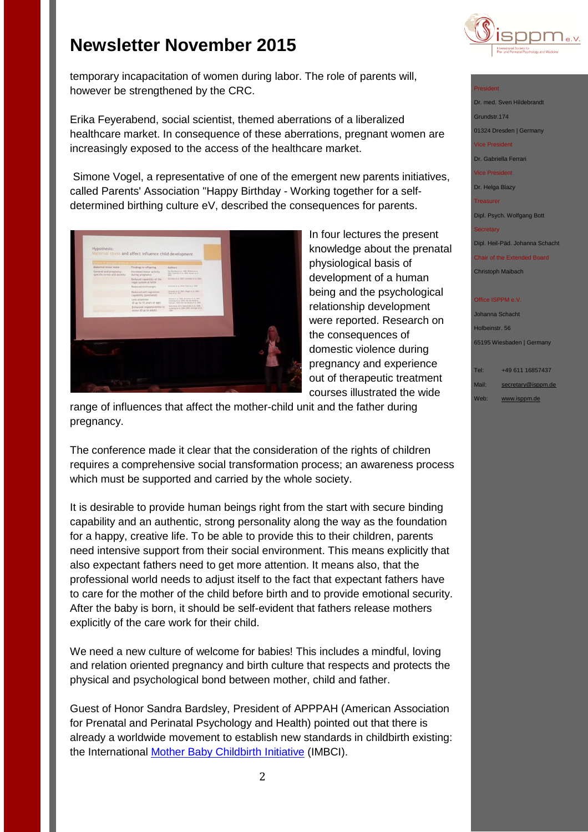

temporary incapacitation of women during labor. The role of parents will, however be strengthened by the CRC.

Erika Feyerabend, social scientist, themed aberrations of a liberalized healthcare market. In consequence of these aberrations, pregnant women are increasingly exposed to the access of the healthcare market.

Simone Vogel, a representative of one of the emergent new parents initiatives, called Parents' Association "Happy Birthday - Working together for a selfdetermined birthing culture eV, described the consequences for parents.



In four lectures the present knowledge about the prenatal physiological basis of development of a human being and the psychological relationship development were reported. Research on the consequences of domestic violence during pregnancy and experience out of therapeutic treatment courses illustrated the wide

range of influences that affect the mother-child unit and the father during pregnancy.

The conference made it clear that the consideration of the rights of children requires a comprehensive social transformation process; an awareness process which must be supported and carried by the whole society.

It is desirable to provide human beings right from the start with secure binding capability and an authentic, strong personality along the way as the foundation for a happy, creative life. To be able to provide this to their children, parents need intensive support from their social environment. This means explicitly that also expectant fathers need to get more attention. It means also, that the professional world needs to adjust itself to the fact that expectant fathers have to care for the mother of the child before birth and to provide emotional security. After the baby is born, it should be self-evident that fathers release mothers explicitly of the care work for their child.

We need a new culture of welcome for babies! This includes a mindful, loving and relation oriented pregnancy and birth culture that respects and protects the physical and psychological bond between mother, child and father.

Guest of Honor Sandra Bardsley, President of APPPAH (American Association for Prenatal and Perinatal Psychology and Health) pointed out that there is already a worldwide movement to establish new standards in childbirth existing: the International [Mother Baby Childbirth Initiative](http://www.imbci.org/) (IMBCI).

## President

Dr. med. Sven Hildebrandt Grundstr.174 01324 Dresden | Germany Vice President Dr. Gabriella Ferrari Vice President Dr. Helga Blazy Treasurer Dipl. Psych. Wolfgang Bott

Dipl. Heil-Päd. Johanna Schacht

Chair of the Extended Board Christoph Maibach

### **Office ISPPM e.V**

Johanna Schacht Holbeinstr. 56 65195 Wiesbaden | Germany

Tel: +49 611 16857437 Mail: [secretary@isppm.de](mailto:secretary@isppm.de) Web: [www.isppm.de](http://www.isppm.de/)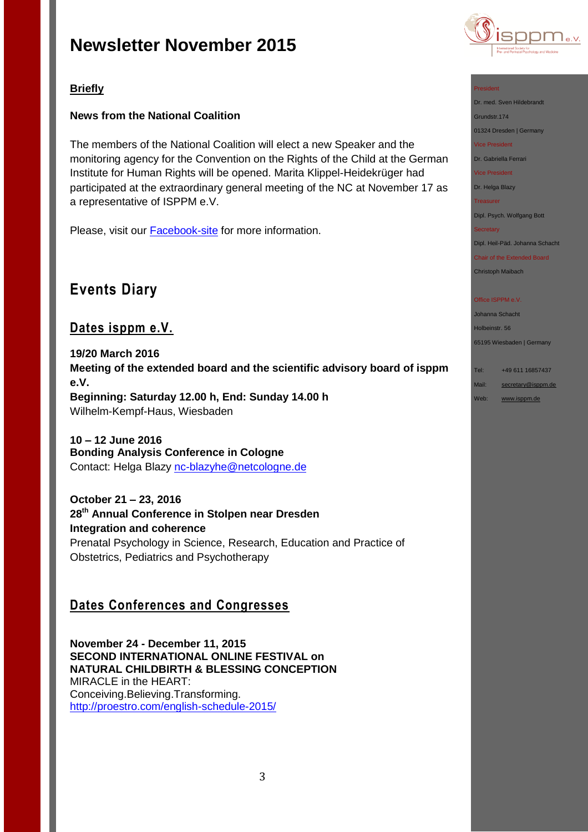

# **Briefly**

## **News from the National Coalition**

The members of the National Coalition will elect a new Speaker and the monitoring agency for the Convention on the Rights of the Child at the German Institute for Human Rights will be opened. Marita Klippel-Heidekrüger had participated at the extraordinary general meeting of the NC at November 17 as a representative of ISPPM e.V.

Please, visit our **[Facebook-site](https://www.facebook.com/pages/ISPPM-eV/124066644364106)** for more information.

# **Events Diary**

# **Dates isppm e.V.**

**19/20 March 2016 Meeting of the extended board and the scientific advisory board of isppm e.V. Beginning: Saturday 12.00 h, End: Sunday 14.00 h** Wilhelm-Kempf-Haus, Wiesbaden

**10 – 12 June 2016 Bonding Analysis Conference in Cologne** Contact: Helga Blazy [nc-blazyhe@netcologne.de](mailto:nc-blazyhe@netcologne.de)

**October 21 – 23, 2016 28th Annual Conference in Stolpen near Dresden Integration and coherence** Prenatal Psychology in Science, Research, Education and Practice of Obstetrics, Pediatrics and Psychotherapy

# **Dates Conferences and Congresses**

**November 24 - December 11, 2015 SECOND INTERNATIONAL ONLINE FESTIVAL on NATURAL CHILDBIRTH & BLESSING CONCEPTION** MIRACLE in the HEART: Conceiving.Believing.Transforming. <http://proestro.com/english-schedule-2015/>

### President

Dr. med. Sven Hildebrandt Grundstr.174

### 01324 Dresden | Germany Vice President

Dr. Gabriella Ferrari

Vice President

Dr. Helga Blazy

**Treasurer** 

Dipl. Psych. Wolfgang Bott

### **Secretary**

Dipl. Heil-Päd. Johanna Schacht

Chair of the Extended Board Christoph Maibach

### Office ISPPM e.V

Johanna Schacht Holbeinstr. 56 65195 Wiesbaden | Germany

Tel: +49 611 16857437

- Mail: [secretary@isppm.de](mailto:secretary@isppm.de)
- Web: [www.isppm.de](http://www.isppm.de/)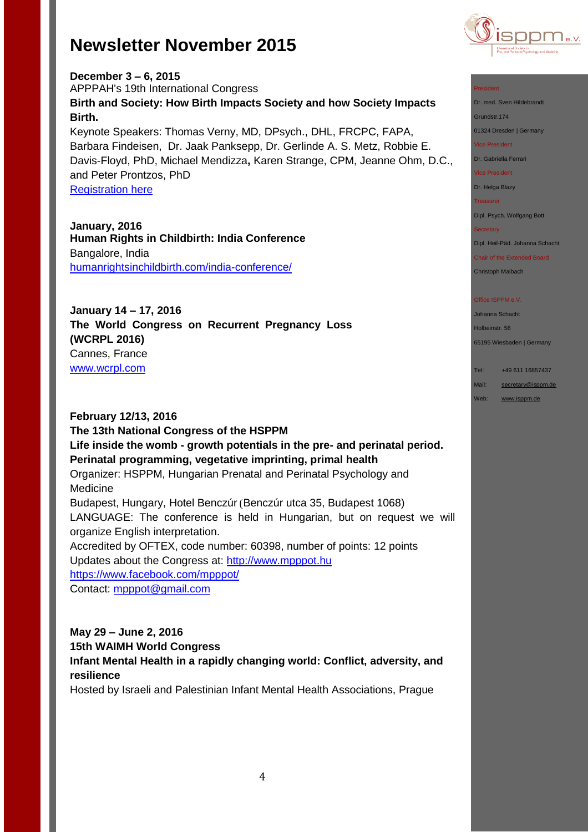

### President

Dr. med. Sven Hildebrandt

Grundstr.174

01324 Dresden | Germany

Vice President

Dr. Gabriella Ferrari

Vice President

Dr. Helga Blazy

Treasurer

Dipl. Psych. Wolfgang Bott

**Secretary** 

Dipl. Heil-Päd. Johanna Schacht

Chair of the Extended Board Christoph Maibach

### Office ISPPM e.V

Johanna Schacht Holbeinstr. 56 65195 Wiesbaden | Germany

Tel: +49 611 16857437

Mail: [secretary@isppm.de](mailto:secretary@isppm.de) Web: [www.isppm.de](http://www.isppm.de/)

**December 3 – 6, 2015** APPPAH's 19th International Congress **Birth and Society: How Birth Impacts Society and how Society Impacts Birth.** Keynote Speakers: Thomas Verny, MD, DPsych., DHL, FRCPC, FAPA, Barbara Findeisen, Dr. Jaak Panksepp, Dr. Gerlinde A. S. Metz, Robbie E. Davis-Floyd, PhD, Michael Mendizza**,** Karen Strange, CPM, Jeanne Ohm, D.C., and Peter Prontzos, PhD [Registration here](http://r20.rs6.net/tn.jsp?f=001ow1wkvozei_88VPX53sV2VFa_ZuxEIVEKa01uLsN1mbdQzyyQdhs_FXedW1fhcbR0cAnBWKAa58XC3PwfiugTa1u-MPUS6Vonsz2fJNfQoB35pjIsF_7lD1CN_qw8TKu7v5JAd5plpwt_sJH1Yde9EazKKjwqyMJ21kbRBK73s3eVNH4L1EyhKr9FAjjkUSl1fgyAKzNeZsbRxoBWUe7j8en6Y0oQ_VI&c=LWshyrIfwgT0SZxQf9pomHGUyyn_Wvxtp2RWpyiRrhc-6I_2N51Iww==&ch=fzqAY8gzqrfAbvVlvh6O_uf6Y0uhLqpZVtR_fAmpQsLRiSXUV-TJkQ==)

**January, 2016 Human Rights in Childbirth: India Conference** Bangalore, India [humanrightsinchildbirth.com/india-conference/](http://humanrightsinchildbirth.com/india-conference/)

**January 14 – 17, 2016 The World Congress on Recurrent Pregnancy Loss (WCRPL 2016)** Cannes, France [www.wcrpl.com](http://www.wcrpl.com/)

**February 12/13, 2016 The 13th National Congress of the HSPPM Life inside the womb - growth potentials in the pre- and perinatal period. Perinatal programming, vegetative imprinting, primal health**  Organizer: HSPPM, Hungarian Prenatal and Perinatal Psychology and Medicine Budapest, Hungary, Hotel Benczúr (Benczúr utca 35, Budapest 1068) LANGUAGE: The conference is held in Hungarian, but on request we will organize English interpretation. Accredited by OFTEX, code number: 60398, number of points: 12 points Updates about the Congress at: [http://www.mpppot.hu](http://www.mpppot.hu/homepage/index.php) [https://www.facebook.com/mpppot/](https://www.facebook.com/mpppot/info/?tab=page_info) Contact: [mpppot@gmail.com](mailto:mpppot@gmail.com)

**May 29 – June 2, 2016 15th WAIMH World Congress Infant Mental Health in a rapidly changing world: Conflict, adversity, and resilience**

Hosted by Israeli and Palestinian Infant Mental Health Associations, Prague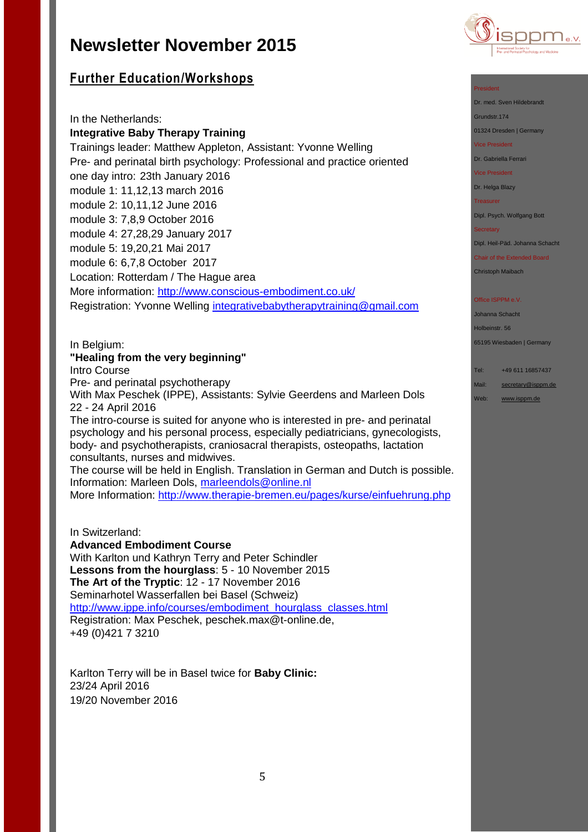

# **Further Education/Workshops**

In the Netherlands: **Integrative Baby Therapy Training** Trainings leader: Matthew Appleton, Assistant: Yvonne Welling Pre- and perinatal birth psychology: Professional and practice oriented one day intro: 23th January 2016 module 1: 11,12,13 march 2016 module 2: 10,11,12 June 2016 module 3: 7,8,9 October 2016 module 4: 27,28,29 January 2017 module 5: 19,20,21 Mai 2017 module 6: 6,7,8 October 2017 Location: Rotterdam / The Hague area More information:<http://www.conscious-embodiment.co.uk/> Registration: Yvonne Welling [integrativebabytherapytraining@gmail.com](mailto:integrativebabytherapytraining@gmail.com)

### In Belgium: **"Healing from the very beginning"**

Intro Course

Pre- and perinatal psychotherapy

With Max Peschek (IPPE), Assistants: Sylvie Geerdens and Marleen Dols 22 - 24 April 2016

The intro-course is suited for anyone who is interested in pre- and perinatal psychology and his personal process, especially pediatricians, gynecologists, body- and psychotherapists, craniosacral therapists, osteopaths, lactation consultants, nurses and midwives.

The course will be held in English. Translation in German and Dutch is possible. Information: Marleen Dols, [marleendols@online.nl](mailto:marleendols@online.nl)

More Information:<http://www.therapie-bremen.eu/pages/kurse/einfuehrung.php>

In Switzerland:

### **Advanced Embodiment Course**

With Karlton und Kathryn Terry and Peter Schindler **Lessons from the hourglass**: 5 - 10 November 2015 **The Art of the Tryptic**: 12 - 17 November 2016 Seminarhotel Wasserfallen bei Basel (Schweiz) http://www.ippe.info/courses/embodiment\_hourglass\_classes.html Registration: Max Peschek, [peschek.max@t-online.de,](mailto:peschek.max@t-online.de) +49 (0)421 7 3210

Karlton Terry will be in Basel twice for **Baby Clinic:** 23/24 April 2016 19/20 November 2016

### President

Dr. med. Sven Hildebrandt

Grundstr.174

01324 Dresden | Germany

Vice President

Dr. Gabriella Ferrari

Vice President

Dr. Helga Blazy

**Treasurer** 

Dipl. Psych. Wolfgang Bott

### **Secretary**

Dipl. Heil-Päd. Johanna Schacht

Chair of the Extended Board Christoph Maibach

### Office ISPPM e.V

Johanna Schacht Holbeinstr. 56

65195 Wiesbaden | Germany

Tel: +49 611 16857437

Mail: [secretary@isppm.de](mailto:secretary@isppm.de)

Web: [www.isppm.de](http://www.isppm.de/)